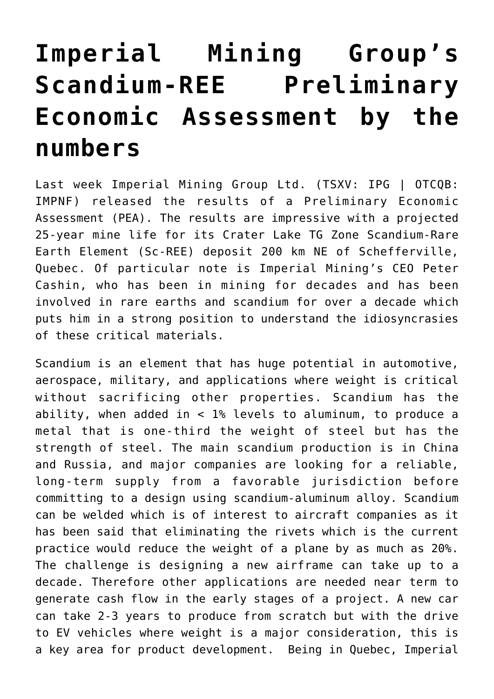## **[Imperial Mining Group's](https://investorintel.com/markets/technology-metals/technology-metals-intel/imperial-mining-groups-scandium-ree-preliminary-economic-assessment-by-the-numbers/) [Scandium-REE Preliminary](https://investorintel.com/markets/technology-metals/technology-metals-intel/imperial-mining-groups-scandium-ree-preliminary-economic-assessment-by-the-numbers/) [Economic Assessment by the](https://investorintel.com/markets/technology-metals/technology-metals-intel/imperial-mining-groups-scandium-ree-preliminary-economic-assessment-by-the-numbers/) [numbers](https://investorintel.com/markets/technology-metals/technology-metals-intel/imperial-mining-groups-scandium-ree-preliminary-economic-assessment-by-the-numbers/)**

Last week [Imperial Mining Group Ltd.](https://imperialmgp.com/) (TSXV: IPG | OTCQB: IMPNF) released the results of a [Preliminary Economic](https://investorintel.com/markets/technology-metals/technology-metals-news/imperial-mining-receives-positive-results-for-the-preliminary-economic-assessment-pea-for-crater-lake/) [Assessment](https://investorintel.com/markets/technology-metals/technology-metals-news/imperial-mining-receives-positive-results-for-the-preliminary-economic-assessment-pea-for-crater-lake/) (PEA). The [results are impressive](https://investorintel.com/investorintel-video/peter-cashin-of-imperial-mining-talks-about-its-earth-shattering-scandium-rare-earth-pea-part-1/) with a projected 25-year mine life for its Crater Lake TG Zone Scandium-Rare Earth Element (Sc-REE) deposit 200 km NE of Schefferville, Quebec. Of particular note is Imperial Mining's CEO Peter Cashin, who has been in mining for decades and has been involved in rare earths and scandium for over a decade which puts him in a strong position to understand the idiosyncrasies of these critical materials.

Scandium is an element that has huge potential in automotive, aerospace, military, and applications where weight is critical without sacrificing other properties. Scandium has the ability, when added in < 1% levels to aluminum, to produce a metal that is one-third the weight of steel but has the strength of steel. The main scandium production is in China and Russia, and major companies are looking for a reliable, long-term supply from a favorable jurisdiction before committing to a design using scandium-aluminum alloy. Scandium can be welded which is of interest to aircraft companies as it has been said that eliminating the rivets which is the current practice would reduce the weight of a plane by as much as 20%. The challenge is designing a new airframe can take up to a decade. Therefore other applications are needed near term to generate cash flow in the early stages of a project. A new car can take 2-3 years to produce from scratch but with the drive to EV vehicles where weight is a major consideration, this is a key area for product development. Being in Quebec, Imperial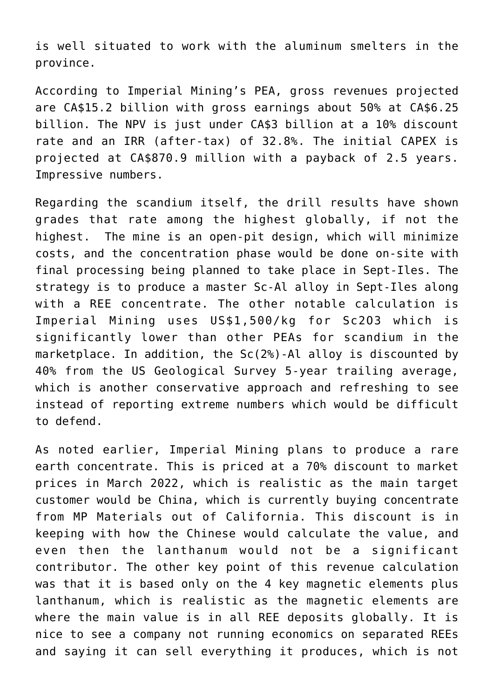is well situated to work with the aluminum smelters in the province.

According to Imperial Mining's PEA, gross revenues projected are CA\$15.2 billion with gross earnings about 50% at CA\$6.25 billion. The NPV is just under CA\$3 billion at a 10% discount rate and an IRR (after-tax) of 32.8%. The initial CAPEX is projected at CA\$870.9 million with a payback of 2.5 years. Impressive numbers.

Regarding the scandium itself, the drill results have shown grades that rate among the highest globally, if not the highest. The mine is an open-pit design, which will minimize costs, and the concentration phase would be done on-site with final processing being planned to take place in Sept-Iles. The strategy is to produce a master Sc-Al alloy in Sept-Iles along with a REE concentrate. The other notable calculation is Imperial Mining uses US\$1,500/kg for Sc2O3 which is significantly lower than other PEAs for scandium in the marketplace. In addition, the Sc(2%)-Al alloy is discounted by 40% from the US Geological Survey 5-year trailing average, which is another conservative approach and refreshing to see instead of reporting extreme numbers which would be difficult to defend.

As noted earlier, Imperial Mining plans to produce a rare earth concentrate. This is priced at a 70% discount to market prices in March 2022, which is realistic as the main target customer would be China, which is currently buying concentrate from MP Materials out of California. This discount is in keeping with how the Chinese would calculate the value, and even then the lanthanum would not be a significant contributor. The other key point of this revenue calculation was that it is based only on the 4 key magnetic elements plus lanthanum, which is realistic as the magnetic elements are where the main value is in all REE deposits globally. It is nice to see a company not running economics on separated REEs and saying it can sell everything it produces, which is not